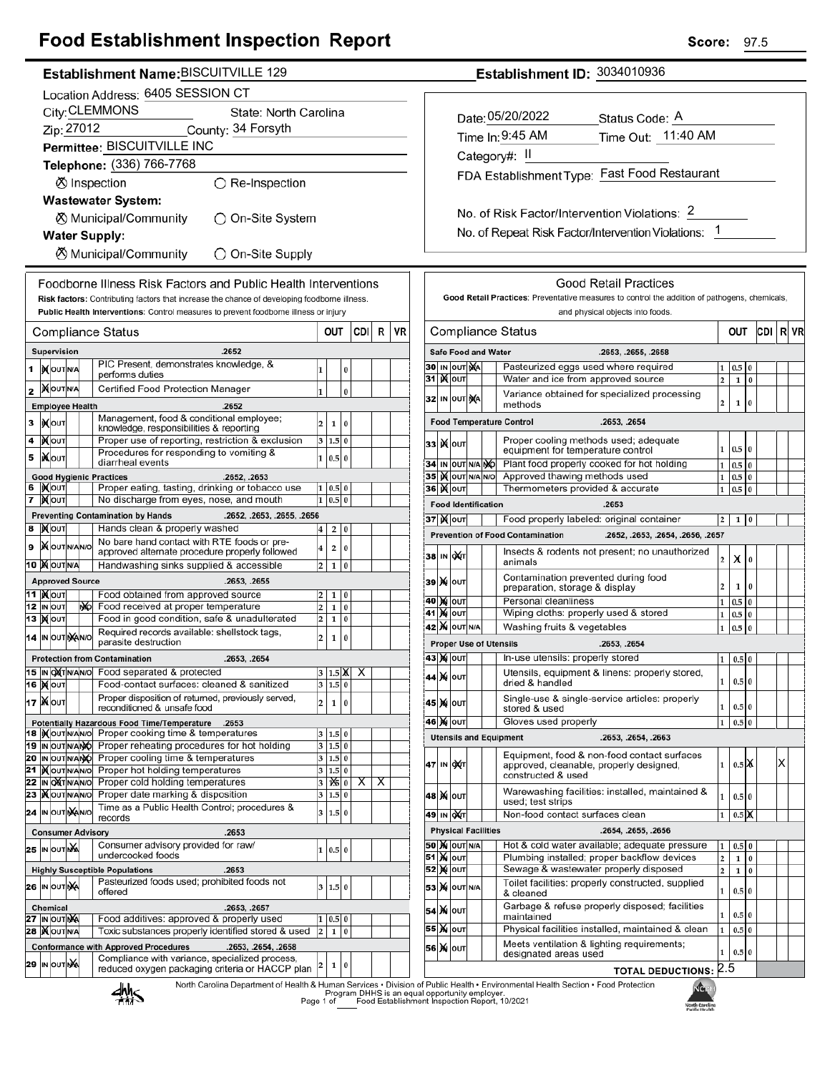## **Food Establishment Inspection Report**

### Establishment Name: BISCUITVILLE 129

| Location Address: 6405 SESSION CT |                                                                |                                              |  |     |                                                                                                                                                                                      |                         |                   |               |     |   |    |
|-----------------------------------|----------------------------------------------------------------|----------------------------------------------|--|-----|--------------------------------------------------------------------------------------------------------------------------------------------------------------------------------------|-------------------------|-------------------|---------------|-----|---|----|
|                                   | City: CLEMMONS<br>State: North Carolina                        |                                              |  |     |                                                                                                                                                                                      |                         |                   |               |     |   |    |
|                                   | Zip: 27012<br>County: 34 Forsyth                               |                                              |  |     |                                                                                                                                                                                      |                         |                   |               |     |   |    |
|                                   |                                                                |                                              |  |     | Permittee: BISCUITVILLE INC                                                                                                                                                          |                         |                   |               |     |   |    |
|                                   |                                                                |                                              |  |     | Telephone: (336) 766-7768                                                                                                                                                            |                         |                   |               |     |   |    |
|                                   |                                                                |                                              |  |     | ⊗ Inspection<br>◯ Re-Inspection                                                                                                                                                      |                         |                   |               |     |   |    |
|                                   |                                                                |                                              |  |     | <b>Wastewater System:</b>                                                                                                                                                            |                         |                   |               |     |   |    |
|                                   | ⊗ Municipal/Community<br>)On-Site System                       |                                              |  |     |                                                                                                                                                                                      |                         |                   |               |     |   |    |
|                                   | <b>Water Supply:</b>                                           |                                              |  |     |                                                                                                                                                                                      |                         |                   |               |     |   |    |
|                                   | ⊗ Municipal/Community<br>◯ On-Site Supply                      |                                              |  |     |                                                                                                                                                                                      |                         |                   |               |     |   |    |
|                                   |                                                                |                                              |  |     |                                                                                                                                                                                      |                         |                   |               |     |   |    |
|                                   | Foodborne Illness Risk Factors and Public Health Interventions |                                              |  |     |                                                                                                                                                                                      |                         |                   |               |     |   |    |
|                                   |                                                                |                                              |  |     | Risk factors: Contributing factors that increase the chance of developing foodborne illness.<br>Public Health Interventions: Control measures to prevent foodborne illness or injury |                         |                   |               |     |   |    |
|                                   |                                                                |                                              |  |     |                                                                                                                                                                                      |                         |                   |               |     |   |    |
|                                   |                                                                |                                              |  |     | Compliance Status                                                                                                                                                                    | out                     |                   |               | CDI | R | VR |
|                                   |                                                                | Supervision                                  |  |     | .2652<br>PIC Present, demonstrates knowledge, &                                                                                                                                      |                         |                   |               |     |   |    |
| 1                                 |                                                                | <b>XOUTNA</b>                                |  |     | performs duties                                                                                                                                                                      | 1                       |                   | 0             |     |   |    |
| 2                                 |                                                                | <b>MOUTNA</b>                                |  |     | Certified Food Protection Manager                                                                                                                                                    | 1                       |                   | 0             |     |   |    |
|                                   |                                                                | <b>Employee Health</b>                       |  |     | .2652                                                                                                                                                                                |                         |                   |               |     |   |    |
| 3                                 |                                                                | <b>іχ</b> оυт                                |  |     | Management, food & conditional employee;<br>knowledge, responsibilities & reporting                                                                                                  | 2                       | 1                 | 0             |     |   |    |
| 4                                 |                                                                | )Х∣оυт                                       |  |     | Proper use of reporting, restriction & exclusion                                                                                                                                     | 3                       | 1.5               | $\bf{0}$      |     |   |    |
| 5                                 |                                                                | IiXo∪т                                       |  |     | Procedures for responding to vomiting &<br>diarrheal events                                                                                                                          | 1                       | 0.5               | $\bf{0}$      |     |   |    |
|                                   |                                                                |                                              |  |     | <b>Good Hygienic Practices</b><br>.2652, .2653                                                                                                                                       |                         |                   |               |     |   |    |
| 6<br>7                            |                                                                | IX OUT<br>∣) <b>X</b> ∣оυт                   |  |     | Proper eating, tasting, drinking or tobacco use<br>No discharge from eyes, nose, and mouth                                                                                           | 1<br>1                  | 0.5<br>0.5        | 0<br>$\bf{0}$ |     |   |    |
|                                   |                                                                |                                              |  |     | <b>Preventing Contamination by Hands</b><br>.2652, .2653, .2655, .2656                                                                                                               |                         |                   |               |     |   |    |
| 8                                 |                                                                | <b>X</b> OUT                                 |  |     | Hands clean & properly washed                                                                                                                                                        | 4                       | 2                 | 0             |     |   |    |
| 9                                 |                                                                | <b>X</b> OUTNANO                             |  |     | No bare hand contact with RTE foods or pre-<br>approved alternate procedure properly followed                                                                                        | 4                       | 2                 | 0             |     |   |    |
|                                   |                                                                | <b>10  ) о</b> льна                          |  |     | Handwashing sinks supplied & accessible                                                                                                                                              | 2                       | 1                 | 0             |     |   |    |
|                                   |                                                                | <b>Approved Source</b>                       |  |     | .2653, .2655                                                                                                                                                                         |                         |                   |               |     |   |    |
|                                   |                                                                | 11  ) <b>(</b> ouт<br>12 IN OUT              |  | NO. | Food obtained from approved source<br>Food received at proper temperature                                                                                                            | 2<br>2                  | 1<br>$\mathbf{1}$ | 0<br>$\bf{0}$ |     |   |    |
|                                   |                                                                | 13 <b>M</b> OUT                              |  |     | Food in good condition, safe & unadulterated                                                                                                                                         | 2                       | 1                 | 0             |     |   |    |
|                                   |                                                                | 14 IN OUT NANO                               |  |     | Required records available: shellstock tags,                                                                                                                                         | 2                       | 1                 | 0             |     |   |    |
|                                   |                                                                |                                              |  |     | parasite destruction<br><b>Protection from Contamination</b><br>.2653, .2654                                                                                                         |                         |                   |               |     |   |    |
|                                   |                                                                | 15 IN OXTNANO                                |  |     | Food separated & protected                                                                                                                                                           |                         | $1.5\,$ X         |               | X   |   |    |
|                                   |                                                                | 16 <b>M</b> out                              |  |     | Food-contact surfaces: cleaned & sanitized                                                                                                                                           |                         | 3 1.5 0           |               |     |   |    |
|                                   |                                                                | <b>17  Х</b> оυт                             |  |     | Proper disposition of returned, previously served,<br>reconditioned & unsafe food                                                                                                    | 2                       | 1                 | 0             |     |   |    |
|                                   |                                                                |                                              |  |     | <b>Potentially Hazardous Food Time/Temperature</b><br>.2653                                                                                                                          |                         |                   |               |     |   |    |
|                                   |                                                                | 18  IX OUT N/AN/O<br><b>19  IN OUT N/ANO</b> |  |     | Proper cooking time & temperatures<br>Proper reheating procedures for hot holding                                                                                                    | 3<br>3                  | 1.5<br>1.5        | 0<br>$\bf{0}$ |     |   |    |
|                                   |                                                                | 20 IN OUT N/ANO                              |  |     | Proper cooling time & temperatures                                                                                                                                                   | 3                       | 1.5               | 0             |     |   |    |
| 21                                |                                                                | <b>KOUTNANO</b>                              |  |     | Proper hot holding temperatures                                                                                                                                                      | 3                       | 1.5               | 0             |     |   |    |
|                                   |                                                                | 22 IN ONT N/AN/O<br>23   OUTNANO             |  |     | Proper cold holding temperatures<br>Proper date marking & disposition                                                                                                                | 3<br>3                  | 126<br>1.5        | 0<br>0        | Χ   | х |    |
| 24                                |                                                                | IN OUT MANO                                  |  |     | Time as a Public Health Control; procedures &                                                                                                                                        | 3                       | 1.5               | 0             |     |   |    |
|                                   |                                                                |                                              |  |     | records<br><b>Consumer Advisory</b><br>.2653                                                                                                                                         |                         |                   |               |     |   |    |
|                                   |                                                                | 25 In Out NA                                 |  |     | Consumer advisory provided for raw/                                                                                                                                                  | 1                       | 0.5               | 0             |     |   |    |
|                                   |                                                                |                                              |  |     | undercooked foods                                                                                                                                                                    |                         |                   |               |     |   |    |
|                                   |                                                                |                                              |  |     | <b>Highly Susceptible Populations</b><br>.2653<br>Pasteurized foods used; prohibited foods not                                                                                       |                         |                   |               |     |   |    |
|                                   |                                                                | 26 IN OUTINA                                 |  |     | offered                                                                                                                                                                              | 3                       | 1.5 0             |               |     |   |    |
|                                   |                                                                | <b>Chemical</b><br><b>27 ΙΝ ΟυΤΝΑ</b>        |  |     | .2653, .2657<br>Food additives: approved & properly used                                                                                                                             | 1                       | 0.5               | 0             |     |   |    |
| 28                                |                                                                | <b>X</b> OUTNA                               |  |     | Toxic substances properly identified stored & used                                                                                                                                   | $\overline{\mathbf{c}}$ | $\mathbf{1}$      | $\bf{0}$      |     |   |    |
|                                   |                                                                |                                              |  |     | <b>Conformance with Approved Procedures</b><br>.2653, .2654, .2658                                                                                                                   |                         |                   |               |     |   |    |
| 29                                |                                                                | IN OUT NA                                    |  |     | Compliance with variance, specialized process,<br>reduced oxygen packaging criteria or HACCP plan                                                                                    | 2                       | 1                 | 0             |     |   |    |
|                                   |                                                                |                                              |  |     | North Carolina Department of Health                                                                                                                                                  |                         |                   |               |     |   |    |

Insects & rodents not present; no unauthorized 38 IN OXT Χ  $\overline{0}$  $\overline{2}$ animals Contamination prevented during food 39 X OUT  $\mathbf 2$  $\mathbf 1$  $\boldsymbol{0}$ preparation, storage & display 40 M OUT Personal cleanliness  $1 \ 0.5$ l0 **41 MOUT** Wiping cloths: properly used & stored  $1 \mid 0.5$  $\bf{0}$ **42 X OUT N/A** Washing fruits & vegetables  $1 \vert 0.5$ **Proper Use of Utensils** .2653, .2654 In-use utensils: properly stored 43 Х оит  $1 \mid 0.5 \mid 0$ Utensils, equipment & linens: properly stored, 44 X OUT  $0.5|0$  $\mathbf{1}$ dried & handled Single-use & single-service articles: properly 45 X OUT  $\mathbf{1}$  $0.5|0$ stored & used 46 X OUT Gloves used properly  $1\quad 0.5$  $\bf{0}$ **Utensils and Equipment** .2653, .2654, .2663 Equipment, food & non-food contact surfaces  $0.5$  X  $\overline{\mathsf{x}}$ 47 IN OXT approved, cleanable, properly designed,  $\mathbf{1}$ constructed & used Warewashing facilities: installed, maintained & 48 | **X** | оит  $\mathbf{1}$  $0.5\,$  0 used; test strips 49 IN OXT  $1 \mid 0.5 \times$ Non-food contact surfaces clean **Physical Facilities** .2654, .2655, .2656 Hot & cold water available; adequate pressure **50 X OUT N/A**  $1 \mid 0.5 \mid 0$ **51 M OUT** Plumbing installed; proper backflow devices  $\begin{array}{|c|c|c|}\n\hline\n2 & 1 \\
\hline\n\end{array}$  $\bf{0}$ **52 MOUT** Sewage & wastewater properly disposed  $\boxed{2}$   $\boxed{1}$   $\boxed{0}$ Toilet facilities: properly constructed, supplied 53 X 0UT N/A  $\mathbf 1$  $0.5|0$ & cleaned Garbage & refuse properly disposed; facilities 54 X OUT  $0.5$  $\overline{0}$ 1 maintained 55 X OUT Physical facilities installed, maintained & clean  $1 \mid 0.5$  $\overline{0}$ Meets ventilation & lighting requirements; 56 X OUT  $\mathbf{1}$  $0.5\,$  $\vert$ 0 designated areas used  $2.5$ **TOTAL DEDUCTIONS:** 

llth & Human Services • Division of Public Health • Environmental Health Section • Food Protection<br>Program DHHS is an equal opportunity employer.<br>Page 1 of Food Establishment Inspection Report, 10/2021



CDI R VR

OUT

 $1\quad 0.5$ 

 $1|0.5$  $\overline{0}$ 

 $1\quad 0.5$  $\overline{0}$ 

 $1 \ 0.5 \ 0$ 

 $1 \ 0.5 \ 0$ 

 $\mathbf 1$  $\overline{2}$  $\bf{0}$ 

 $\overline{0}$  $\mathbf 2$  $\mathbf 1$ 

## Establishment ID: 3034010936

**Compliance Status** 

**Food Temperature Control** 

methods

35 X out N/A N/O Approved thawing methods used

37 X out | Food properly labeled: original container

Safe Food and Water

30 IN OUT XA

32 IN OUT XA

31 **Kout** 

33 X OUT

36 | N | OUT

34 IN OUT N/A NO

**Food Identification** 

**Prevention of Food Contamination** 

| Date: 05/20/2022                                     | Status Code: A     |  |  |  |  |  |  |  |
|------------------------------------------------------|--------------------|--|--|--|--|--|--|--|
| Time In: 9:45 AM                                     | Time Out: 11:40 AM |  |  |  |  |  |  |  |
| Category#: II                                        |                    |  |  |  |  |  |  |  |
| FDA Establishment Type: Fast Food Restaurant         |                    |  |  |  |  |  |  |  |
|                                                      |                    |  |  |  |  |  |  |  |
| No. of Risk Factor/Intervention Violations: 2        |                    |  |  |  |  |  |  |  |
| No. of Repeat Risk Factor/Intervention Violations: 1 |                    |  |  |  |  |  |  |  |
|                                                      |                    |  |  |  |  |  |  |  |

**Good Retail Practices** Good Retail Practices: Preventative measures to control the addition of pathogens, chemicals, and physical objects into foods.

Pasteurized eggs used where required

Proper cooling methods used; adequate

Plant food properly cooked for hot holding

equipment for temperature control

Thermometers provided & accurate

Variance obtained for specialized processing

Water and ice from approved source

.2653. .2655. .2658

.2653, .2654

.2653

.2652. .2653. .2654. .2656. .2657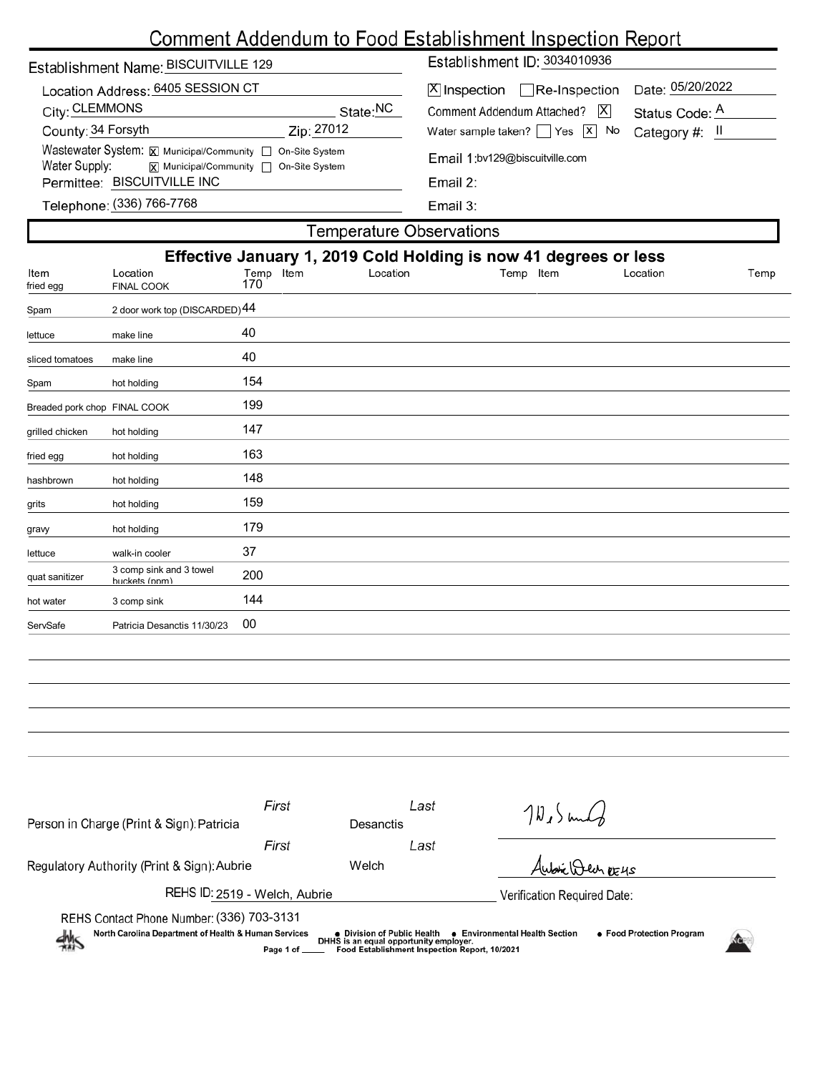# Comment Addendum to Food Establishment Inspection Report

| Establishment Name: BISCUITVILLE 129                                                                                                   |                                 | Establishment ID: 3034010936             |                  |  |  |  |
|----------------------------------------------------------------------------------------------------------------------------------------|---------------------------------|------------------------------------------|------------------|--|--|--|
| Location Address: 6405 SESSION CT                                                                                                      |                                 | $[X]$ Inspection $\Box$ Re-Inspection    | Date: 05/20/2022 |  |  |  |
| City: CLEMMONS                                                                                                                         | State:NC                        | X <br>Comment Addendum Attached?         | Status Code: A   |  |  |  |
| County: 34 Forsyth                                                                                                                     | Zip: 27012                      | Water sample taken? $\Box$ Yes $\Box$ No | Category #: II   |  |  |  |
| Wastewater System: X Municipal/Community   On-Site System<br>Water Supply:<br>$\overline{x}$ Municipal/Community $\Box$ On-Site System |                                 | Email 1:bv129@biscuitville.com           |                  |  |  |  |
| Permittee: BISCUITVILLE INC                                                                                                            |                                 | Email 2:                                 |                  |  |  |  |
| Telephone: (336) 766-7768                                                                                                              |                                 | Email $3:$                               |                  |  |  |  |
|                                                                                                                                        | <b>Temperature Observations</b> |                                          |                  |  |  |  |

| Effective January 1, 2019 Cold Holding is now 41 degrees or less |                                          |                  |          |           |          |      |  |
|------------------------------------------------------------------|------------------------------------------|------------------|----------|-----------|----------|------|--|
| Item<br>fried egg                                                | Location<br><b>FINAL COOK</b>            | Temp Item<br>170 | Location | Temp Item | Location | Temp |  |
| Spam                                                             | 2 door work top (DISCARDED) 44           |                  |          |           |          |      |  |
| lettuce                                                          | make line                                | 40               |          |           |          |      |  |
| sliced tomatoes                                                  | make line                                | 40               |          |           |          |      |  |
| Spam                                                             | hot holding                              | 154              |          |           |          |      |  |
| Breaded pork chop FINAL COOK                                     |                                          | 199              |          |           |          |      |  |
| grilled chicken                                                  | hot holding                              | 147              |          |           |          |      |  |
| fried egg                                                        | hot holding                              | 163              |          |           |          |      |  |
| hashbrown                                                        | hot holding                              | 148              |          |           |          |      |  |
| grits                                                            | hot holding                              | 159              |          |           |          |      |  |
| gravy                                                            | hot holding                              | 179              |          |           |          |      |  |
| lettuce                                                          | walk-in cooler                           | 37               |          |           |          |      |  |
| quat sanitizer                                                   | 3 comp sink and 3 towel<br>huckets (nnm) | 200              |          |           |          |      |  |
| hot water                                                        | 3 comp sink                              | 144              |          |           |          |      |  |
| ServSafe                                                         | Patricia Desanctis 11/30/23              | 00               |          |           |          |      |  |
|                                                                  |                                          |                  |          |           |          |      |  |

| Person in Charge (Print & Sign): Patricia                                                                                                                                                                                                                                                                                      | First | Desanctis                   | Last | $70,5$ und       |  |  |  |
|--------------------------------------------------------------------------------------------------------------------------------------------------------------------------------------------------------------------------------------------------------------------------------------------------------------------------------|-------|-----------------------------|------|------------------|--|--|--|
|                                                                                                                                                                                                                                                                                                                                | First |                             | Last |                  |  |  |  |
| Regulatory Authority (Print & Sign): Aubrie                                                                                                                                                                                                                                                                                    | Welch |                             |      | Aubric Quen DE4S |  |  |  |
| REHS ID: 2519 - Welch, Aubrie                                                                                                                                                                                                                                                                                                  |       | Verification Required Date: |      |                  |  |  |  |
| REHS Contact Phone Number: (336) 703-3131<br>North Carolina Department of Health & Human Services<br>• Food Protection Program<br>● Environmental Health Section<br>● Division of Public Health<br>$\frac{dh}{dh}$<br>DHHS is an equal opportunity employer.<br>Food Establishment Inspection Report, 10/2021<br>Page 1 of ___ |       |                             |      |                  |  |  |  |